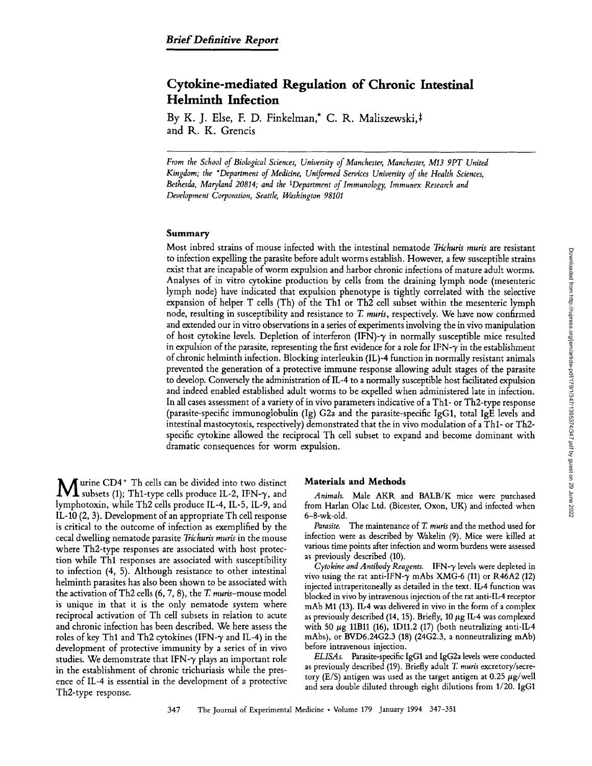# **Cytokine-mediated Regulation of Chronic Intestinal Helminth Infection**

By K. J. Else, F. D. Finkelman,\* C. R. Maliszewski,# and R. K. Grencis

*From the School of Biological Sciences, University of Manchester, Manchester, MI3 9PT United Kingdom; the \*Department of Medicine, Uniformed Services University of the Health Sciences,*  Bethesda, Maryland 20814; and the <sup>‡</sup>Department of Immunology, Immunex Research and *Development Corporation, Seattle, Washington 98101* 

## **Summary**

Most inbred strains of mouse infected with the intestinal nematode *Trichuris muris* are resistant to infection expelling the parasite before adult worms establish. However, a few susceptible strains exist that are incapable of worm expulsion and harbor chronic infections of mature adult worms. Analyses of in vitro cytokine production by cells from the draining lymph node (mesenteric lymph node) have indicated that expulsion phenotype is tightly correlated with the selective expansion of helper T cells (Th) of the Thl or Th2 cell subset within the mesenteric lymph node, resulting in susceptibility and resistance to T. *muffs,* respectively. We have now confirmed and extended our in vitro observations in a series of experiments involving the in vivo manipulation of host cytokine levels. Depletion of interferon (IFN)- $\gamma$  in normally susceptible mice resulted in expulsion of the parasite, representing the first evidence for a role for IFN- $\gamma$  in the establishment of chronic helminth infection. Blocking interleukin (IL)-4 function in normally resistant animals prevented the generation of a protective immune response allowing adult stages of the parasite to develop. Conversely the administration of IL-4 to a normally susceptible host facilitated expulsion and indeed enabled established adult worms to be expelled when administered late in infection. In all cases assessment of a variety of in vivo parameters indicative of a Thl- or Th2-type response (parasite-specific immunoglobulin (Ig) G2a and the parasite-specific IgG1, total IgE levels and intestinal mastocytosis, respectively) demonstrated that the in vivo modulation of a Th1- or Th2specific cytokine allowed the reciprocal Th cell subset to expand and become dominant with dramatic consequences for worm expulsion.

**M** urine CD4<sup>+</sup> Th cells can be divided into two distinct subsets (1); Th1-type cells produce IL-2, IFN- $\gamma$ , and lymphotoxin, while Th2 cells produce IL-4, IL-5, IL-9, and IL-10 (2, 3). Development of an appropriate Th cell response is critical to the outcome of infection as exemplified by the cecal dwelling nematode parasite *Trichuris muris* in the mouse where Th2-type responses are associated with host protection while Thl responses are associated with susceptibility to infection (4, 5). Although resistance to other intestinal helminth parasites has also been shown to be associated with the activation of Th2 cells  $(6, 7, 8)$ , the T. muris-mouse model is unique in that it is the only nematode system where reciprocal activation of Th cell subsets in relation to acute and chronic infection has been described. We here assess the roles of key Th1 and Th2 cytokines (IFN- $\gamma$  and IL-4) in the development of protective immunity by a series of in vivo studies. We demonstrate that IFN- $\gamma$  plays an important role in the establishment of chronic trichuriasis while the presence of IL-4 is essential in the development of a protective Th2-type response.

#### **Materials and Methods**

*Animals.* Male AKK and BALB/K mice were purchased from Harlan Olac Ltd. (Bicester, Oxon, UK) and infected when 6-8-wk-old.

*Parasite.* The maintenance of T. *muris* and the method used for infection were as described by Wakelin (9). Mice were killed at various time points after infection and worm burdens were assessed as previously described (10).

 $C$ ytokine and Antibody Reagents. **IFN-** $\gamma$  levels were depleted in vivo using the rat anti-IFN- $\gamma$  mAbs XMG-6 (11) or R46A2 (12) injected intraperitoneally as detailed in the text. IL-4 function was blocked in vivo by intravenous injection of the rat anti-Ib4 receptor mAb M1 (13). Ib4 was delivered in vivo in the form of a complex as previously described (14, 15). Briefly, 10  $\mu$ g IL-4 was complexed with 50  $\mu$ g 11B11 (16), 1D11.2 (17) (both neutralizing anti-IL-4 mAbs), or BVD6.24G2.3 (18) (24G2.3, a nonneutralizing mAb) before intravenous injection.

*ELISAs.* Parasite-specific IgG1 and IgG2a levels were conducted as previously described (19). Briefly adult T. *muris* excretory/secretory (E/S) antigen was used as the target antigen at 0.25  $\mu$ g/well and sera double diluted through eight dilutions from 1/20. IgG1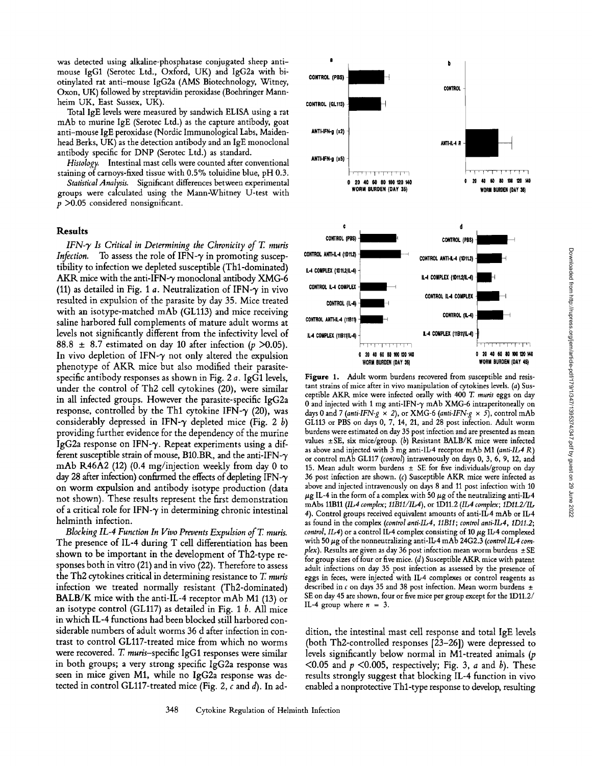was detected using alkaline-phosphatase conjugated sheep antimouse IgG1 (Serotec Ltd., Oxford, UK) and IgG2a with biotinylated rat anti-mouse IgG2a (AMS Biotechnology, Witney, Oxon, UK) followed by streptavidin peroxidase (Boehringer Mannheim UK, East Sussex, UK).

Total IgE levels were measured by sandwich ELISA using a rat mAb to murine IgE (Serotec Ltd.) as the capture antibody, goat anti-mouse IgE peroxidase (Nordic Immunological Labs, Maidenhead Berks, UK) as the detection antibody and an IgE monoclonal antibody specific for DNP (Serotec Ltd.) as standard.

*Histology.* Intestinal mast cells were counted after conventional staining of carnoys-fixed tissue with 0.5% toluidine blue, pH 0.3.

*Statistical Analysis.* Significant differences between experimental groups were calculated using the Mann-Whitney U-test with  $p > 0.05$  considered nonsignificant.

## **Resu|ts**

*IFN-9" Is Critical in Determining the Chronicity of T. muris Infection.* To assess the role of IFN- $\gamma$  in promoting susceptibility to infection we depleted susceptible (Thl-dominated) AKR mice with the anti-IFN- $\gamma$  monoclonal antibody XMG-6 (11) as detailed in Fig. 1 a. Neutralization of IFN- $\gamma$  in vivo resulted in expulsion of the parasite by day 35. Mice treated with an isotype-matched mAb (GL113) and mice receiving saline harbored full complements of mature adult worms at levels not significantly different from the infectivity level of 88.8  $\pm$  8.7 estimated on day 10 after infection (p >0.05). In vivo depletion of IFN- $\gamma$  not only altered the expulsion phenotype of AKR mice but also modified their parasitespecific antibody responses as shown in Fig. 2 a. IgG1 levels, under the control of Th2 cell cytokines (20), were similar in all infected groups. However the parasite-specific IgG2a response, controlled by the Th1 cytokine IFN- $\gamma$  (20), was considerably depressed in IFN- $\gamma$  depleted mice (Fig. 2 b) providing further evidence for the dependency of the murine IgG2a response on IFN- $\gamma$ . Repeat experiments using a different susceptible strain of mouse, B10.BR, and the anti-IFN- $\gamma$ mAb R46A2 (12) (0.4 mg/injection weekly from day 0 to day 28 after infection) confirmed the effects of depleting IFN- $\gamma$ on worm expulsion and antibody isotype production (data not shown). These results represent the first demonstration of a critical role for IFN- $\gamma$  in determining chronic intestinal helminth infection.

*Blocking IL-4 Function In Vivo Prevents Expulsion ofT. muris.*  The presence of IL-4 during T cell differentiation has been shown to be important in the development of Th2-type responses both in vitro (21) and in vivo (22). Therefore to assess the Th2 cytokines critical in determining resistance to T. *muris*  infection we treated normally resistant (Th2-dominated) BALB/K mice with the anti-IL-4 receptor mAb M1 (13) or an isotype control (GL117) as detailed in Fig. 1  $b$ . All mice in which [L-4 functions had been blocked still harbored considerable numbers of adult worms 36 d after infection in contrast to control GLl17-treated mice from which no worms were recovered. T. *muris-specific* IgG1 responses were similar in both groups; a very strong specific IgG2a response was seen in mice given M1, while no IgG2a response was detected in control GL117-treated mice (Fig. 2,  $c$  and  $d$ ). In ad-



Figure 1. Adult worm burdens recovered from susceptible and resistant strains of mice after in vivo manipulation of cytokines levels. (a) Susceptible AKR mice were infected orally with 400 T. *muris* eggs on day 0 and injected with 1 mg anti-IFN- $\gamma$  mAb XMG-6 intraperitoneally on days 0 and 7 (anti-IFN-g  $\times$  2), or XMG-6 (anti-IFN-g  $\times$  5), control mAb GL113 or PBS on days  $0, 7, 14, 21,$  and  $28$  post infection. Adult worm burdens were estimated on day 35 post infection and are presented as mean values  $\pm$  SE, six mice/group. (b) Resistant BALB/K mice were infected as above and injected with 3 mg anti-IL-4 receptor mAb M1 *(anti-IL4 R)*  or control mAb GLl17 *(control)* intravenously on days 0, 3, 6, 9, 12, and 15. Mean adult worm burdens  $\pm$  SE for five individuals/group on day 36 post infection are shown. (c) Susceptible AKR mice were infected as above and injected intravenously on days 8 and 11 post infection with 10  $\mu$ g IL-4 in the form of a complex with 50  $\mu$ g of the neutralizing anti-IL-4 mAbs 11B11 *(IL-4 complex; 11B11/IL-4)*, or 1D11.2 *(IL-4 complex; 1D11.2/IL-*4). Control groups received equivalent amounts of anti-IL-4 mAb or IL-4 as found in the complex *(control anti-IL4, 11Bll ; control anti-IL4, IDli.2; control, IL4*) or a control IL-4 complex consisting of 10  $\mu$ g IL-4 complexed with 50  $\mu$ g of the nonneutralizing anti-IL-4 mAb 24G2.3 *(control IL-4 complex*). Results are given as day 36 post infection mean worm burdens  $\pm$  SE for group sizes of four or five mice. (d) Susceptible AKR mice with patent adult infections on day 35 post infection as assessed by the presence of eggs in feces, were injected with IL-4 complexes or control reagents as described in c on days 35 and 38 post infection. Mean worm burdens  $\pm$ SE on day 45 are shown, four or five mice per group except for the 1D11.2/ IL-4 group where  $n = 3$ .

dition, the intestinal mast cell response and total IgE levels (both Th2-controlled responses [23-26]) were depressed to levels significantly below normal in Ml-treated animals (p <0.05 and  $p$  <0.005, respectively; Fig. 3,  $a$  and  $b$ ). These results strongly suggest that blocking IL-4 function in vivo enabled a nonprotective Thl-type response to develop, resulting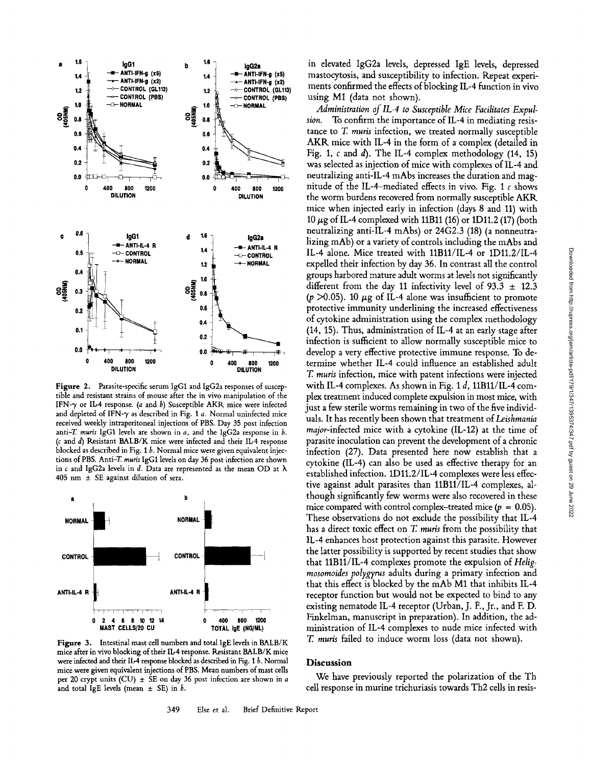

Figure 2. Parasite-specific serum IgG1 and IgG2a responses of susceptible and resistant strains of mouse after the in vivo manipulation of the IFN- $\gamma$  or IL-4 response. (a and b) Susceptible AKR mice were infected and depleted of IFN- $\gamma$  as described in Fig. 1 a. Normal uninfected mice received weekly intraperitoneal injections of PBS. Day 35 post infection anti-T muris IgG1 levels are shown in  $a$ , and the IgG2a response in  $b$ . ( $c$  and  $d$ ) Resistant BALB/K mice were infected and their IL-4 response blocked as described in Fig.  $1 b$ . Normal mice were given equivalent injections of PBS. Anti-T. muris IgG1 levels on day 36 post infection are shown in c and IgG2a levels in d. Data are represented as the mean OD at  $\lambda$ 405 nm  $\pm$  SE against dilution of sera.



Figure 3. Intestinal mast cell numbers and total IgE levels in BALB/K mice after in vivo blocking of their IL-4 response. Resistant BALB/K mice were infected and their IL-4 response blocked as described in Fig. 1 b. Normal mice were given equivalent injections of PBS. Mean numbers of mast cells per 20 crypt units (CU)  $\pm$  SE on day 36 post infection are shown in a and total IgE levels (mean  $\pm$  SE) in b.

in elevated IgG2a levels, depressed IgE levels, depressed mastocytosis, and susceptibility to infection. Repeat experiments confirmed the effects of blocking IL-4 function in vivo using M1 (data not shown).

Administration of IL-4 to Susceptible Mice Facilitates Expul-To confirm the importance of IL-4 in mediating resission. tance to T. muris infection, we treated normally susceptible AKR mice with IL-4 in the form of a complex (detailed in Fig. 1, c and d). The IL-4 complex methodology (14, 15) was selected as injection of mice with complexes of IL-4 and neutralizing anti-IL-4 mAbs increases the duration and magnitude of the IL-4-mediated effects in vivo. Fig. 1  $\epsilon$  shows the worm burdens recovered from normally susceptible AKR mice when injected early in infection (days 8 and 11) with 10  $\mu$ g of IL-4 complexed with 11B11 (16) or 1D11.2 (17) (both neutralizing anti-IL-4 mAbs) or 24G2.3 (18) (a nonneutralizing mAb) or a variety of controls including the mAbs and IL-4 alone. Mice treated with 11B11/IL-4 or 1D11.2/IL-4 expelled their infection by day 36. In contrast all the control groups harbored mature adult worms at levels not significantly different from the day 11 infectivity level of 93.3  $\pm$  12.3 ( $p > 0.05$ ). 10  $\mu$ g of IL-4 alone was insufficient to promote protective immunity underlining the increased effectiveness of cytokine administration using the complex methodology (14, 15). Thus, administration of IL-4 at an early stage after infection is sufficient to allow normally susceptible mice to develop a very effective protective immune response. To determine whether IL-4 could influence an established adult T. muris infection, mice with patent infections were injected with IL-4 complexes. As shown in Fig. 1 d,  $11B11/II$ -4 complex treatment induced complete expulsion in most mice, with just a few sterile worms remaining in two of the five individuals. It has recently been shown that treatment of Leishmania major-infected mice with a cytokine (IL-12) at the time of parasite inoculation can prevent the development of a chronic infection (27). Data presented here now establish that a cytokine (IL-4) can also be used as effective therapy for an established infection. 1D11.2/IL-4 complexes were less effective against adult parasites than 11B11/IL-4 complexes, although significantly few worms were also recovered in these mice compared with control complex-treated mice ( $p = 0.05$ ). These observations do not exclude the possibility that IL-4 has a direct toxic effect on T. muris from the possibility that IL-4 enhances host protection against this parasite. However the latter possibility is supported by recent studies that show that 11B11/IL-4 complexes promote the expulsion of Heligmosomoides polygyrus adults during a primary infection and that this effect is blocked by the mAb M1 that inhibits IL-4 receptor function but would not be expected to bind to any existing nematode IL-4 receptor (Urban, J. F., Jr., and F. D. Finkelman, manuscript in preparation). In addition, the administration of IL-4 complexes to nude mice infected with T. muris failed to induce worm loss (data not shown).

### **Discussion**

We have previously reported the polarization of the Th cell response in murine trichuriasis towards Th2 cells in resis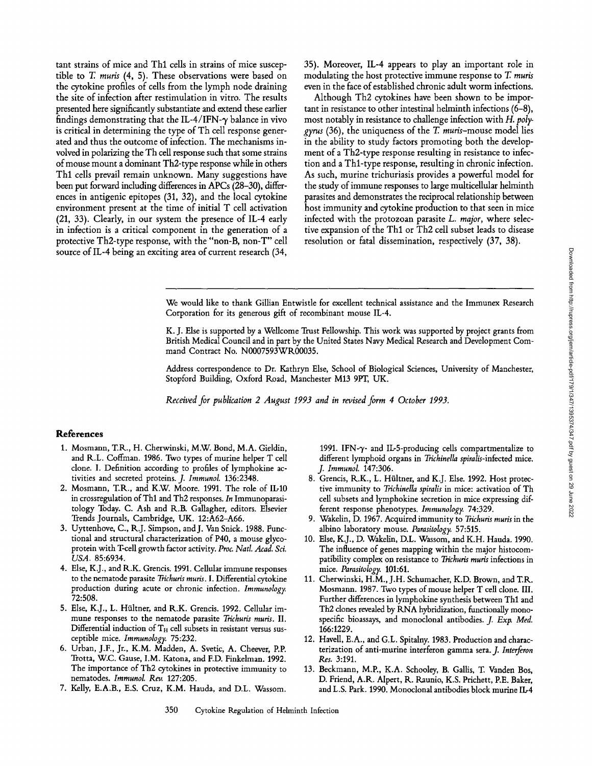tant strains of mice and Thl cells in strains of mice susceptible to T. *muris* (4, 5). These observations were based on the cytokine profiles of cells from the lymph node draining the site of infection after restimulation in vitro. The results presented here significantly substantiate and extend these earlier findings demonstrating that the IL-4/IFN- $\gamma$  balance in vivo is critical in determining the type of Th cell response generated and thus the outcome of infection. The mechanisms involved in polarizing the Th cell response such that some strains of mouse mount a dominant Th2-type response while in others Thl cells prevail remain unknown. Many suggestions have been put forward including differences in APCs (28-30), differences in antigenic epitopes (31, 32), and the local cytokine environment present at the time of initial T cell activation (21, 33). Clearly, in our system the presence of IL-4 early in infection is a critical component in the generation of a protective Th2-type response, with the "non-B, non-T" cell source of IL-4 being an exciting area of current research (34, 35). Moreover, IL-4 appears to play an important role in modulating the host protective immune response to T. *muris*  even in the face of established chronic adult worm infections.

Although Th2 cytokines have been shown to be important in resistance to other intestinal helminth infections (6-8), most notably in resistance to challenge infection with *11. polygyrus* (36), the uniqueness of the T. *muris-mouse* model lies in the ability to study factors promoting both the development of a Th2-type response resulting in resistance to infection and a Thl-type response, resulting in chronic infection. As such, murine trichuriasis provides a powerful model for the study of immune responses to large multicellular helminth parasites and demonstrates the reciprocal relationship between host immunity and cytokine production to that seen in mice infected with the protozoan parasite *L. major,* where selective expansion of the Thl or Th2 cell subset leads to disease resolution or fatal dissemination, respectively (37, 38).

We would like to thank Gillian Entwistle for excellent technical assistance and the Immunex Research Corporation for its generous gift of recombinant mouse IL-4.

K. J. Else is supported by a Wellcome Trust Fellowship. This work was supported by project grants from British Medical Council and in part by the United States Navy Medical Research and Development Command Contract No. N0007593WR00035.

Address correspondence to Dr. Kathryn Else, School of Biological Sciences, University of Manchester, Stopford Building, Oxford Road, Manchester M13 9PT, UK.

*Received for publication 2 August 1993 and in revised.form 4 October 1993.* 

## **References**

- 1. Mosmann, T.R.., H. Cherwinski, M.W. Bond, M.A. Gieldin, and R.L. Coffman. 1986. Two types of murine helper T cell clone. I. Definition according to profiles of lymphokine activities and secreted proteins. *J. Immunol.* 136:2348.
- 2. Mosmann, T.R., and K.W. Moore. 1991. The role of *IL-IO*  in crossregulation of Thl and Th2 responses. *In* Immunoparasitology Today. C. Ash and R.B. Gallagher, editors. Elsevier Trends Journals, Cambridge, UK. 12:A62-A66.
- 3. Uyttenhove, C., R.J. Simpson, and J. Van Snick. 1988. Functional and structural characterization of P40, a mouse glycoprotein with T-cell growth factor activity. *Proc. Natl. Acad. Sci. USA.* 85:6934.
- 4. Else, K.J., and R.K. Grencis. 1991. Cellular immune responses to the nematode parasite *Trichuris muris.* I. Differential cytokine production during acute or chronic infection. *Immunology.*  72:508.
- 5. Else, K.J., L. Hfiltner, and R.K. Grencis. 1992. Cellular immune responses to the nematode parasite *Trichuris muris*. II. Differential induction of  $T_H$  cell subsets in resistant versus susceptible mice. *Immunology.* 75:232.
- 6. Urban, J.F., Jr., K.M. Madden, A. Svetic, A. Cheever, P.P. Trotta, W.C. Gause, I.M. Katona, and ED. Finkelman. 1992. The importance of Th2 cytokines in protective immunity to nematodes. *Immunol. Rev.* 127:205.
- 7. Kelly, E.A.B., E.S. Cruz, K.M. Hauda, and D.L. Wassom.

1991. IFN- $\gamma$ - and IL-5-producing cells compartmentalize to different lymphoid organs in *Trichinella spiralis-infected mice*. *j. Immunol.* 147:306.

- 8. Grencis, R.K., L. Hfiltner, and K.J. Else. 1992. Host protective immunity to *Trichinella spiralis* in mice: activation of Th cell subsets and lymphokine secretion in mice expressing different response phenotypes. *Immunology.* 74:329.
- 9. Wakelin, D. 1967. Acquired immunity to *Trichuris muris* in the albino laboratory mouse. *Parasitology.* 57:515.
- 10. Else, K.J., D. Wakelin, D.L. Wassom, and K.H. Hauda. 1990. The influence of genes mapping within the major histocompatibility complex on resistance to *Trichuris muris* infections in mice. *Parasitology.* 101:61.
- 11. Cherwinski, H.M., J.H. Schumacher, K.D. Brown, and T.R. Mosmann. 1987. Two types of mouse helper T cell clone. III. Further differences in lymphokine synthesis between Thl and Th2 clones revealed by RNA hybridization, functionally monospecific bioassays, and monoclonal antibodies. *J. Exp. Med.*  166:1229.
- 12. Havell, E.A., and G.L. Spitalny. 1983. Production and characterization of anti-murine interferon gamma sera. *J. Interferon Res.* 3:191.
- 13. Beckmann, M.P., K.A. Schooley, B. Gallis, T. Vanden Bos, D. Friend, A.R. Alpert, R. Raunio, K.S. Prichett, P.E. Baker, and L.S. Park. 1990. Monoclonal antibodies block murine IL-4